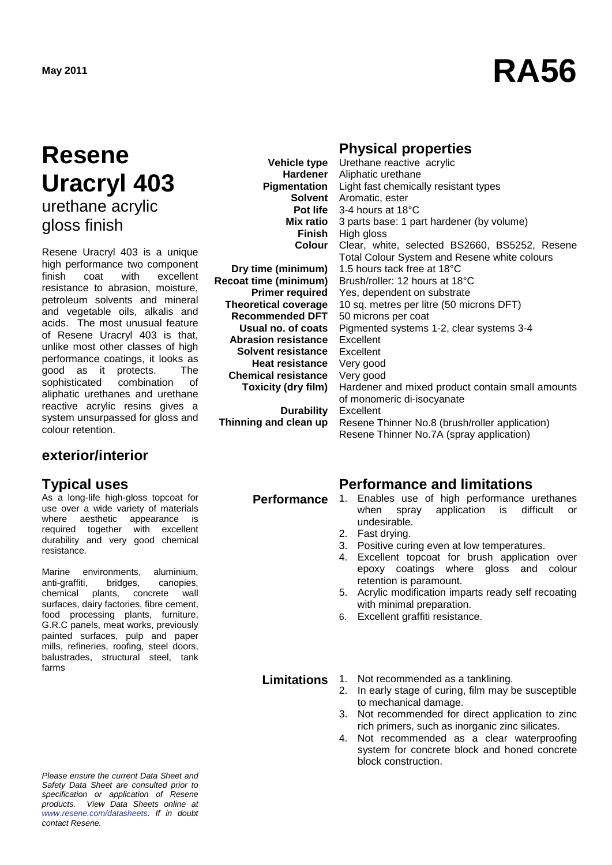# **May 2011 RA56**

### **Resene Uracryl 403** urethane acrylic

gloss finish

Resene Uracryl 403 is a unique high performance two component<br>finish coat with excellent finish coat resistance to abrasion, moisture, petroleum solvents and mineral and vegetable oils, alkalis and acids. The most unusual feature of Resene Uracryl 403 is that, unlike most other classes of high performance coatings, it looks as good as it protects. The<br>sophisticated combination of sophisticated aliphatic urethanes and urethane reactive acrylic resins gives a system unsurpassed for gloss and colour retention.

#### **exterior/interior**

As a long-life high-gloss topcoat for use over a wide variety of materials where aesthetic appearance is required together with excellent durability and very good chemical resistance.

Marine environments, aluminium, anti-graffiti, bridges, canopies, chemical plants, concrete wall surfaces, dairy factories, fibre cement, food processing plants, furniture, G.R.C panels, meat works, previously painted surfaces, pulp and paper mills, refineries, roofing, steel doors, balustrades, structural steel, tank farms

*Please ensure the current Data Sheet and Safety Data Sheet are consulted prior to specification or application of Resene products. View Data Sheets online at [www.resene.com/datasheets.](http://www.resene.com/datasheets) If in doubt contact Resene.*

**Vehicle type Hardener Finish Colour**

**Dry time (minimum) Recoat time (minimum) Primer required Theoretical coverage Recommended DFT Usual no. of coats Abrasion resistance Solvent resistance Heat resistance Chemical resistance Toxicity (dry film)**

**Durability Thinning and clean up**

#### **Physical properties**

**Pigmentation** Light fast chemically resistant types **Solvent** Aromatic, ester **Pot life** 3-4 hours at 18°C **Mix ratio** 3 parts base: 1 part hardener (by volume) Urethane reactive acrylic Aliphatic urethane High gloss Clear, white, selected BS2660, BS5252, Resene Total Colour System and Resene white colours 1.5 hours tack free at 18°C Brush/roller: 12 hours at 18°C Yes, dependent on substrate 10 sq. metres per litre (50 microns DFT) 50 microns per coat Pigmented systems 1-2, clear systems 3-4 Excellent Excellent Very good Very good Hardener and mixed product contain small amounts of monomeric di-isocyanate Excellent Resene Thinner No.8 (brush/roller application) Resene Thinner No.7A (spray application)

### **Typical uses Performance and limitations**

- **Performance** 1. Enables use of high performance urethanes<br>when spray application is difficult or difficult or undesirable.
	- 2. Fast drying.
	- 3. Positive curing even at low temperatures.
	- 4. Excellent topcoat for brush application over epoxy coatings where gloss and colour retention is paramount.
	- 5. Acrylic modification imparts ready self recoating with minimal preparation.
	- 6. Excellent graffiti resistance.

**Limitations** 1. Not recommended as a tanklining.<br>2. In early stage of curing, film may b

- In early stage of curing, film may be susceptible to mechanical damage.
- 3. Not recommended for direct application to zinc rich primers, such as inorganic zinc silicates.
- 4. Not recommended as a clear waterproofing system for concrete block and honed concrete block construction.